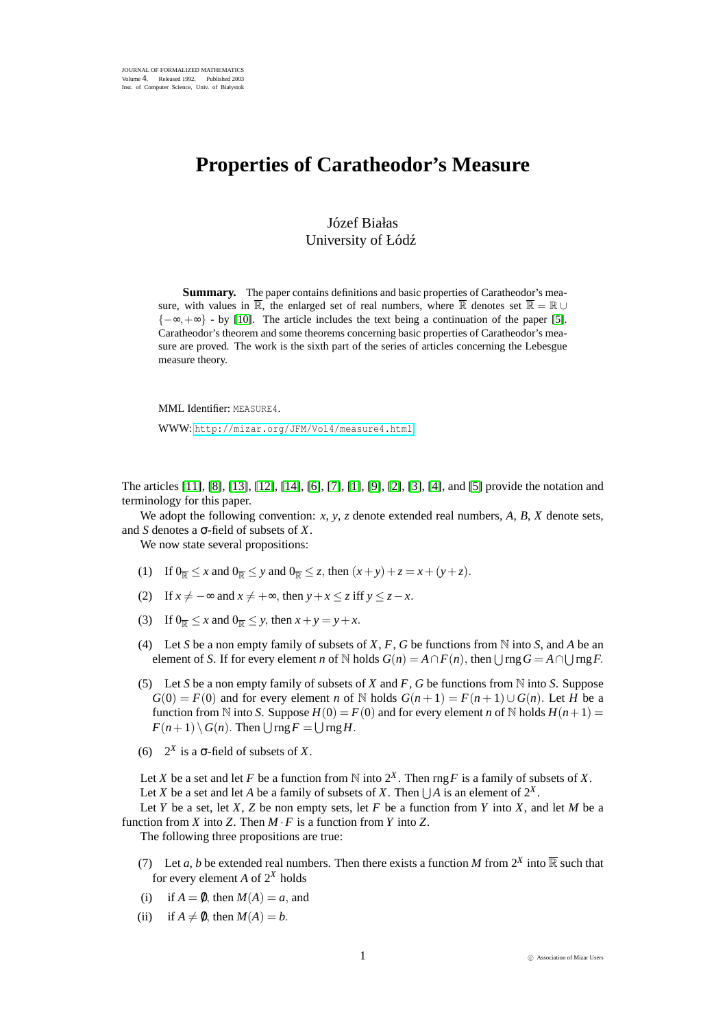## **Properties of Caratheodor's Measure**

## Józef Białas University of Łódź

**Summary.** The paper contains definitions and basic properties of Caratheodor's measure, with values in  $\overline{\mathbb{R}}$ , the enlarged set of real numbers, where  $\overline{\mathbb{R}}$  denotes set  $\overline{\mathbb{R}} = \mathbb{R} \cup$  ${-\infty, +\infty}$  - by [\[10\]](#page-2-0). The article includes the text being a continuation of the paper [\[5\]](#page-2-1). Caratheodor's theorem and some theorems concerning basic properties of Caratheodor's measure are proved. The work is the sixth part of the series of articles concerning the Lebesgue measure theory.

MML Identifier: MEASURE4. WWW: <http://mizar.org/JFM/Vol4/measure4.html>

The articles [\[11\]](#page-2-2), [\[8\]](#page-2-3), [\[13\]](#page-2-4), [\[12\]](#page-2-5), [\[14\]](#page-2-6), [\[6\]](#page-2-7), [\[7\]](#page-2-8), [\[1\]](#page-2-9), [\[9\]](#page-2-10), [\[2\]](#page-2-11), [\[3\]](#page-2-12), [\[4\]](#page-2-13), and [\[5\]](#page-2-1) provide the notation and terminology for this paper.

We adopt the following convention: *x*, *y*, *z* denote extended real numbers, *A*, *B*, *X* denote sets, and *S* denotes a σ-field of subsets of *X*.

We now state several propositions:

- (1) If  $0_{\overline{p}} \le x$  and  $0_{\overline{p}} \le y$  and  $0_{\overline{p}} \le z$ , then  $(x + y) + z = x + (y + z)$ .
- (2) If  $x \neq -\infty$  and  $x \neq +\infty$ , then  $y + x \leq z$  iff  $y \leq z x$ .
- (3) If  $0_{\overline{R}} \leq x$  and  $0_{\overline{R}} \leq y$ , then  $x + y = y + x$ .
- (4) Let *S* be a non empty family of subsets of *X*, *F*, *G* be functions from N into *S*, and *A* be an element of *S*. If for every element *n* of N holds  $G(n) = A \cap F(n)$ , then  $\bigcup \text{rng } G = A \cap \bigcup \text{rng } F$ .
- (5) Let *S* be a non empty family of subsets of *X* and *F*, *G* be functions from N into *S*. Suppose  $G(0) = F(0)$  and for every element *n* of N holds  $G(n+1) = F(n+1) \cup G(n)$ . Let *H* be a function from N into *S*. Suppose  $H(0) = F(0)$  and for every element *n* of N holds  $H(n+1) =$  $F(n+1) \setminus G(n)$ . Then  $\bigcup \text{rng } F = \bigcup \text{rng } H$ .
- (6) 2*<sup>X</sup>* is a σ-field of subsets of *X*.

Let *X* be a set and let *F* be a function from  $\mathbb N$  into  $2^X$ . Then rng *F* is a family of subsets of *X*. Let *X* be a set and let *A* be a family of subsets of *X*. Then  $\bigcup A$  is an element of  $2^X$ .

Let *Y* be a set, let *X*, *Z* be non empty sets, let *F* be a function from *Y* into *X*, and let *M* be a function from *X* into *Z*. Then  $M \cdot F$  is a function from *Y* into *Z*.

The following three propositions are true:

- (7) Let *a*, *b* be extended real numbers. Then there exists a function *M* from  $2^X$  into  $\overline{\mathbb{R}}$  such that for every element *A* of  $2^X$  holds
- (i) if  $A = \emptyset$ , then  $M(A) = a$ , and
- (ii) if  $A \neq \emptyset$ , then  $M(A) = b$ .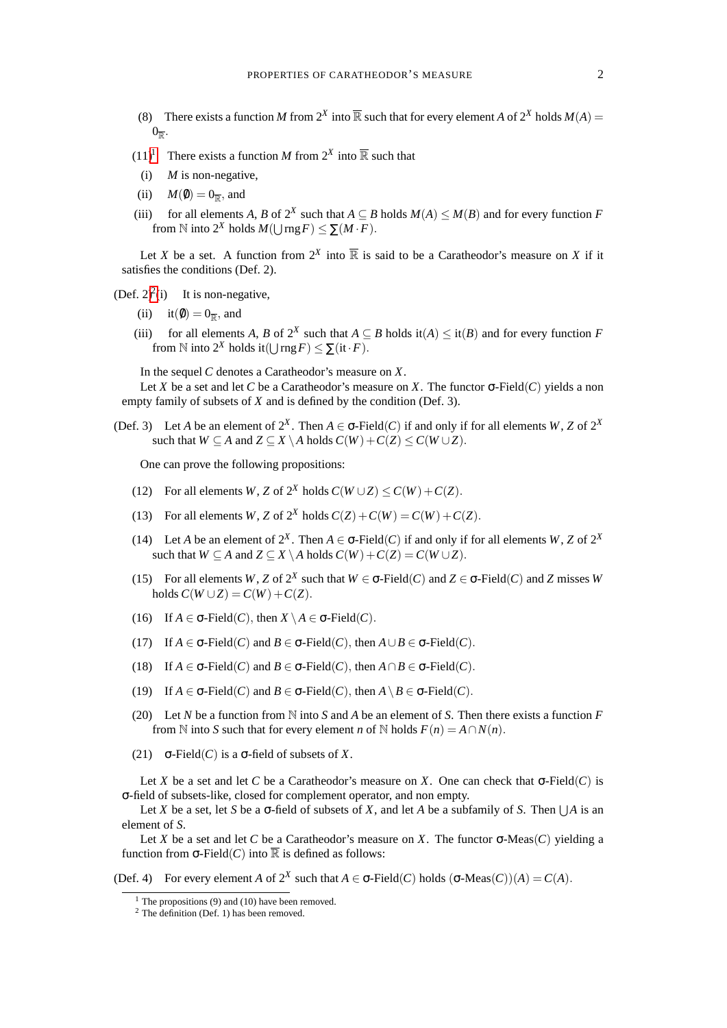- (8) There exists a function *M* from  $2^X$  into  $\overline{\mathbb{R}}$  such that for every element *A* of  $2^X$  holds  $M(A)$  =  $0_{\overline{\mathbb{R}}}$ .
- $(11)^1$  $(11)^1$  $(11)^1$  There exists a function *M* from  $2^X$  into  $\overline{\mathbb{R}}$  such that
- (i) *M* is non-negative,
- (ii)  $M(\emptyset) = 0_{\overline{\mathbb{R}}}$ , and
- (iii) for all elements *A*, *B* of  $2^X$  such that  $A \subseteq B$  holds  $M(A) \leq M(B)$  and for every function *F* from  $\mathbb N$  into  $2^X$  holds  $M(\bigcup \text{rng } F) \leq \sum (M \cdot F)$ .

Let *X* be a set. A function from  $2^X$  into  $\overline{\mathbb{R}}$  is said to be a Caratheodor's measure on *X* if it satisfies the conditions (Def. 2).

 $(\text{Def. } 2)^2(i)$  $(\text{Def. } 2)^2(i)$  $(\text{Def. } 2)^2(i)$  It is non-negative,

- (ii) it( $\emptyset$ ) = 0<sub> $\overline{\mathbb{R}}$ </sub>, and
- (iii) for all elements *A*, *B* of  $2^X$  such that  $A \subseteq B$  holds it( $A$ )  $\leq$  it( $B$ ) and for every function *F* from  $\mathbb N$  into  $2^X$  holds it( $\bigcup \text{rng } F$ )  $\leq \sum (\text{it} \cdot F)$ .

In the sequel *C* denotes a Caratheodor's measure on *X*.

Let *X* be a set and let *C* be a Caratheodor's measure on *X*. The functor  $\sigma$ -Field(*C*) yields a non empty family of subsets of *X* and is defined by the condition (Def. 3).

(Def. 3) Let *A* be an element of  $2^X$ . Then  $A \in \sigma$ -Field(*C*) if and only if for all elements *W*, *Z* of  $2^X$ such that  $W \subseteq A$  and  $Z \subseteq X \setminus A$  holds  $C(W) + C(Z) \leq C(W \cup Z)$ .

One can prove the following propositions:

- (12) For all elements *W*, *Z* of  $2^X$  holds  $C(W \cup Z) \le C(W) + C(Z)$ .
- (13) For all elements *W*, *Z* of  $2^X$  holds  $C(Z) + C(W) = C(W) + C(Z)$ .
- (14) Let *A* be an element of  $2^X$ . Then  $A \in \sigma$ -Field(*C*) if and only if for all elements *W*, *Z* of  $2^X$ such that  $W \subseteq A$  and  $Z \subseteq X \setminus A$  holds  $C(W) + C(Z) = C(W \cup Z)$ .
- (15) For all elements *W*, *Z* of  $2^X$  such that  $W \in \sigma$ -Field(*C*) and  $Z \in \sigma$ -Field(*C*) and *Z* misses *W*  $\text{holds } C(W \cup Z) = C(W) + C(Z).$
- (16) If  $A \in \sigma$ -Field(*C*), then  $X \setminus A \in \sigma$ -Field(*C*).
- (17) If  $A \in \sigma$ -Field(*C*) and  $B \in \sigma$ -Field(*C*), then  $A \cup B \in \sigma$ -Field(*C*).
- (18) If  $A \in \sigma$ -Field(*C*) and  $B \in \sigma$ -Field(*C*), then  $A \cap B \in \sigma$ -Field(*C*).
- (19) If  $A \in \sigma$ -Field(*C*) and  $B \in \sigma$ -Field(*C*), then  $A \setminus B \in \sigma$ -Field(*C*).
- (20) Let *N* be a function from N into *S* and *A* be an element of *S*. Then there exists a function *F* from  $\mathbb N$  into *S* such that for every element *n* of  $\mathbb N$  holds  $F(n) = A \cap N(n)$ .
- (21) σ-Field(*C*) is a σ-field of subsets of *X*.

Let *X* be a set and let *C* be a Caratheodor's measure on *X*. One can check that σ-Field(*C*) is σ-field of subsets-like, closed for complement operator, and non empty.

Let *X* be a set, let *S* be a  $\sigma$ -field of subsets of *X*, and let *A* be a subfamily of *S*. Then  $\bigcup A$  is an element of *S*.

Let *X* be a set and let *C* be a Caratheodor's measure on *X*. The functor  $\sigma$ -Meas(*C*) yielding a function from  $\sigma$ -Field(*C*) into  $\overline{\mathbb{R}}$  is defined as follows:

(Def. 4) For every element *A* of  $2^X$  such that  $A \in \sigma$ -Field(*C*) holds  $(\sigma$ -Meas(*C*))(*A*) = *C*(*A*).

<span id="page-1-0"></span> $<sup>1</sup>$  The propositions (9) and (10) have been removed.</sup>

<span id="page-1-1"></span> $2$  The definition (Def. 1) has been removed.